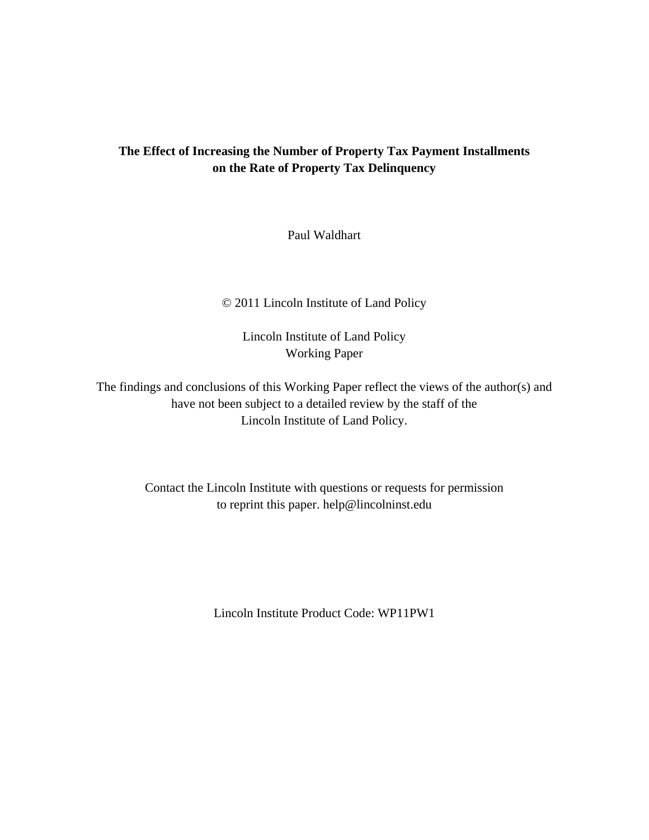# **The Effect of Increasing the Number of Property Tax Payment Installments on the Rate of Property Tax Delinquency**

Paul Waldhart

### © 2011 Lincoln Institute of Land Policy

Lincoln Institute of Land Policy Working Paper

The findings and conclusions of this Working Paper reflect the views of the author(s) and have not been subject to a detailed review by the staff of the Lincoln Institute of Land Policy.

> Contact the Lincoln Institute with questions or requests for permission to reprint this paper. help@lincolninst.edu

> > Lincoln Institute Product Code: WP11PW1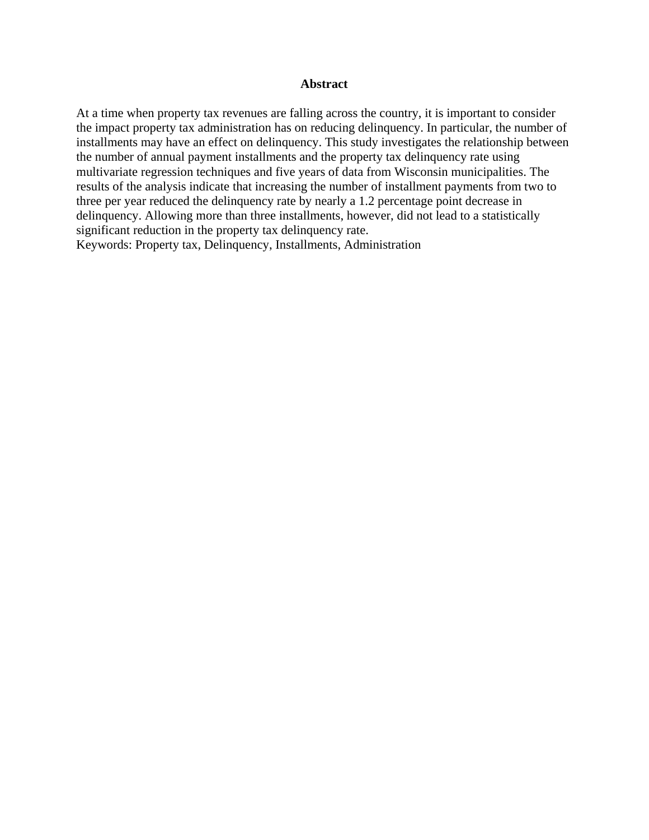### **Abstract**

At a time when property tax revenues are falling across the country, it is important to consider the impact property tax administration has on reducing delinquency. In particular, the number of installments may have an effect on delinquency. This study investigates the relationship between the number of annual payment installments and the property tax delinquency rate using multivariate regression techniques and five years of data from Wisconsin municipalities. The results of the analysis indicate that increasing the number of installment payments from two to three per year reduced the delinquency rate by nearly a 1.2 percentage point decrease in delinquency. Allowing more than three installments, however, did not lead to a statistically significant reduction in the property tax delinquency rate.

Keywords: Property tax, Delinquency, Installments, Administration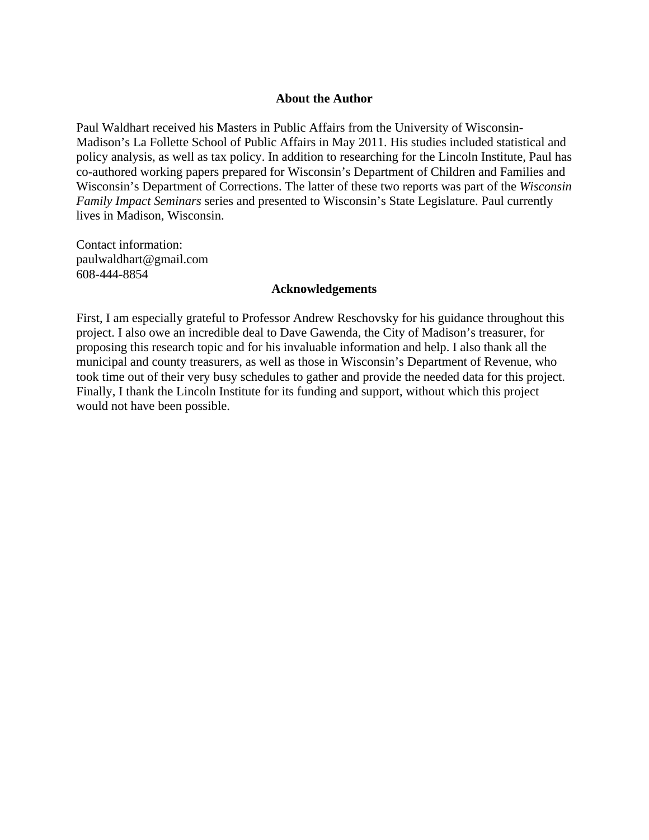### **About the Author**

Paul Waldhart received his Masters in Public Affairs from the University of Wisconsin-Madison's La Follette School of Public Affairs in May 2011. His studies included statistical and policy analysis, as well as tax policy. In addition to researching for the Lincoln Institute, Paul has co-authored working papers prepared for Wisconsin's Department of Children and Families and Wisconsin's Department of Corrections. The latter of these two reports was part of the *Wisconsin Family Impact Seminars* series and presented to Wisconsin's State Legislature. Paul currently lives in Madison, Wisconsin.

Contact information: paulwaldhart@gmail.com 608-444-8854

### **Acknowledgements**

First, I am especially grateful to Professor Andrew Reschovsky for his guidance throughout this project. I also owe an incredible deal to Dave Gawenda, the City of Madison's treasurer, for proposing this research topic and for his invaluable information and help. I also thank all the municipal and county treasurers, as well as those in Wisconsin's Department of Revenue, who took time out of their very busy schedules to gather and provide the needed data for this project. Finally, I thank the Lincoln Institute for its funding and support, without which this project would not have been possible.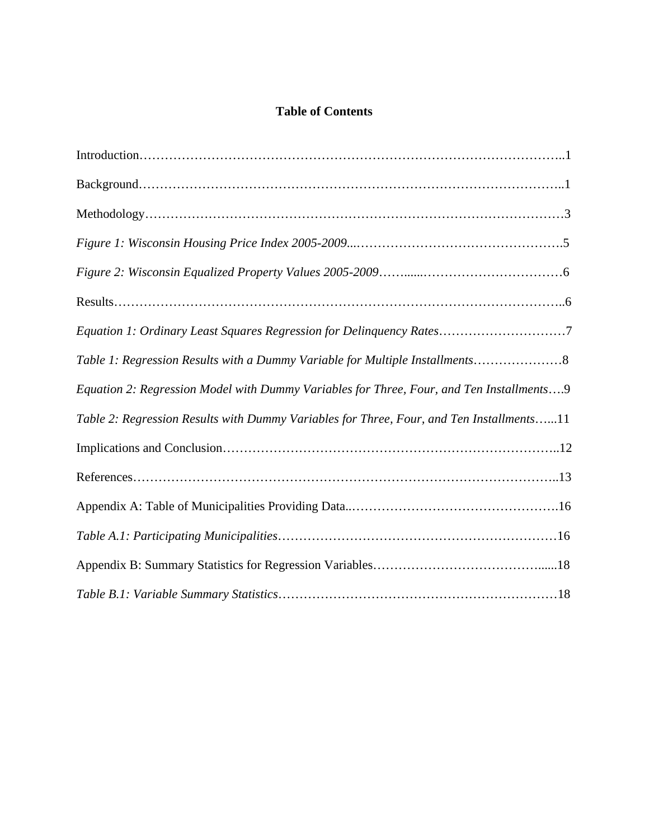# **Table of Contents**

| Equation 1: Ordinary Least Squares Regression for Delinquency Rates7                     |
|------------------------------------------------------------------------------------------|
| Table 1: Regression Results with a Dummy Variable for Multiple Installments8             |
| Equation 2: Regression Model with Dummy Variables for Three, Four, and Ten Installments9 |
| Table 2: Regression Results with Dummy Variables for Three, Four, and Ten Installments11 |
|                                                                                          |
|                                                                                          |
|                                                                                          |
|                                                                                          |
|                                                                                          |
|                                                                                          |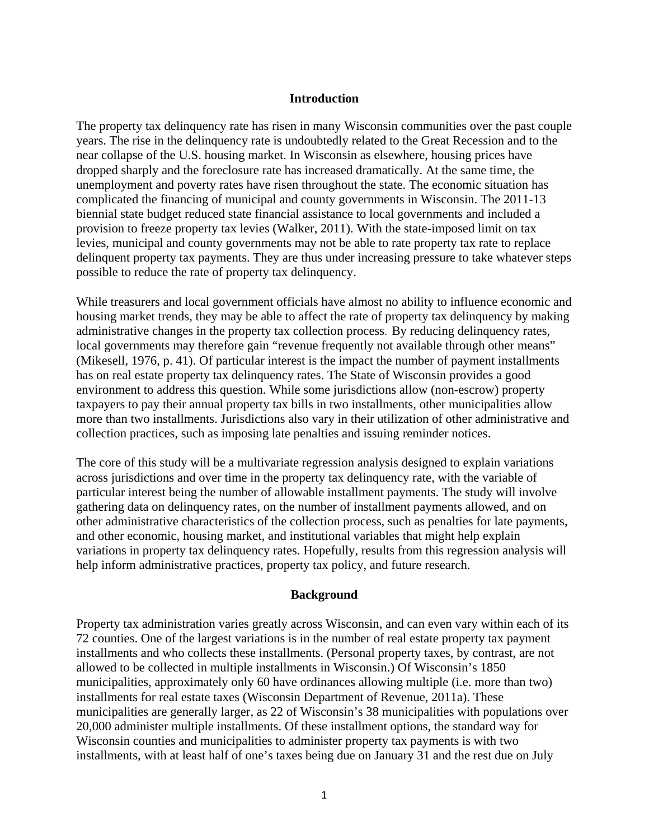#### **Introduction**

The property tax delinquency rate has risen in many Wisconsin communities over the past couple years. The rise in the delinquency rate is undoubtedly related to the Great Recession and to the near collapse of the U.S. housing market. In Wisconsin as elsewhere, housing prices have dropped sharply and the foreclosure rate has increased dramatically. At the same time, the unemployment and poverty rates have risen throughout the state. The economic situation has complicated the financing of municipal and county governments in Wisconsin. The 2011-13 biennial state budget reduced state financial assistance to local governments and included a provision to freeze property tax levies (Walker, 2011). With the state-imposed limit on tax levies, municipal and county governments may not be able to rate property tax rate to replace delinquent property tax payments. They are thus under increasing pressure to take whatever steps possible to reduce the rate of property tax delinquency.

While treasurers and local government officials have almost no ability to influence economic and housing market trends, they may be able to affect the rate of property tax delinquency by making administrative changes in the property tax collection process. By reducing delinquency rates, local governments may therefore gain "revenue frequently not available through other means" (Mikesell, 1976, p. 41). Of particular interest is the impact the number of payment installments has on real estate property tax delinquency rates. The State of Wisconsin provides a good environment to address this question. While some jurisdictions allow (non-escrow) property taxpayers to pay their annual property tax bills in two installments, other municipalities allow more than two installments. Jurisdictions also vary in their utilization of other administrative and collection practices, such as imposing late penalties and issuing reminder notices.

The core of this study will be a multivariate regression analysis designed to explain variations across jurisdictions and over time in the property tax delinquency rate, with the variable of particular interest being the number of allowable installment payments. The study will involve gathering data on delinquency rates, on the number of installment payments allowed, and on other administrative characteristics of the collection process, such as penalties for late payments, and other economic, housing market, and institutional variables that might help explain variations in property tax delinquency rates. Hopefully, results from this regression analysis will help inform administrative practices, property tax policy, and future research.

### **Background**

Property tax administration varies greatly across Wisconsin, and can even vary within each of its 72 counties. One of the largest variations is in the number of real estate property tax payment installments and who collects these installments. (Personal property taxes, by contrast, are not allowed to be collected in multiple installments in Wisconsin.) Of Wisconsin's 1850 municipalities, approximately only 60 have ordinances allowing multiple (i.e. more than two) installments for real estate taxes (Wisconsin Department of Revenue, 2011a). These municipalities are generally larger, as 22 of Wisconsin's 38 municipalities with populations over 20,000 administer multiple installments. Of these installment options, the standard way for Wisconsin counties and municipalities to administer property tax payments is with two installments, with at least half of one's taxes being due on January 31 and the rest due on July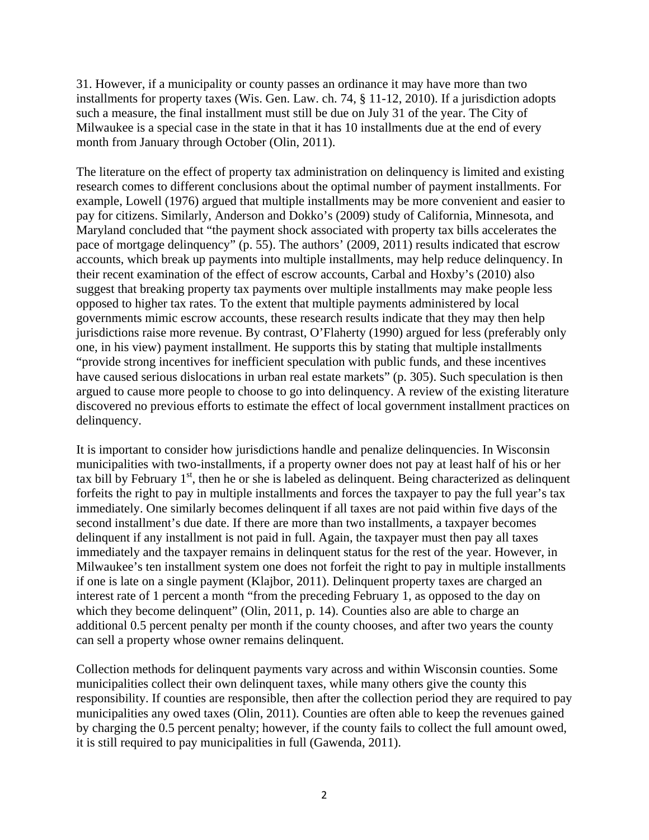31. However, if a municipality or county passes an ordinance it may have more than two installments for property taxes (Wis. Gen. Law. ch. 74, § 11-12, 2010). If a jurisdiction adopts such a measure, the final installment must still be due on July 31 of the year. The City of Milwaukee is a special case in the state in that it has 10 installments due at the end of every month from January through October (Olin, 2011).

The literature on the effect of property tax administration on delinquency is limited and existing research comes to different conclusions about the optimal number of payment installments. For example, Lowell (1976) argued that multiple installments may be more convenient and easier to pay for citizens. Similarly, Anderson and Dokko's (2009) study of California, Minnesota, and Maryland concluded that "the payment shock associated with property tax bills accelerates the pace of mortgage delinquency" (p. 55). The authors' (2009, 2011) results indicated that escrow accounts, which break up payments into multiple installments, may help reduce delinquency. In their recent examination of the effect of escrow accounts, Carbal and Hoxby's (2010) also suggest that breaking property tax payments over multiple installments may make people less opposed to higher tax rates. To the extent that multiple payments administered by local governments mimic escrow accounts, these research results indicate that they may then help jurisdictions raise more revenue. By contrast, O'Flaherty (1990) argued for less (preferably only one, in his view) payment installment. He supports this by stating that multiple installments "provide strong incentives for inefficient speculation with public funds, and these incentives have caused serious dislocations in urban real estate markets" (p. 305). Such speculation is then argued to cause more people to choose to go into delinquency. A review of the existing literature discovered no previous efforts to estimate the effect of local government installment practices on delinquency.

It is important to consider how jurisdictions handle and penalize delinquencies. In Wisconsin municipalities with two-installments, if a property owner does not pay at least half of his or her tax bill by February  $1<sup>st</sup>$ , then he or she is labeled as delinquent. Being characterized as delinquent forfeits the right to pay in multiple installments and forces the taxpayer to pay the full year's tax immediately. One similarly becomes delinquent if all taxes are not paid within five days of the second installment's due date. If there are more than two installments, a taxpayer becomes delinquent if any installment is not paid in full. Again, the taxpayer must then pay all taxes immediately and the taxpayer remains in delinquent status for the rest of the year. However, in Milwaukee's ten installment system one does not forfeit the right to pay in multiple installments if one is late on a single payment (Klajbor, 2011). Delinquent property taxes are charged an interest rate of 1 percent a month "from the preceding February 1, as opposed to the day on which they become delinquent" (Olin, 2011, p. 14). Counties also are able to charge an additional 0.5 percent penalty per month if the county chooses, and after two years the county can sell a property whose owner remains delinquent.

Collection methods for delinquent payments vary across and within Wisconsin counties. Some municipalities collect their own delinquent taxes, while many others give the county this responsibility. If counties are responsible, then after the collection period they are required to pay municipalities any owed taxes (Olin, 2011). Counties are often able to keep the revenues gained by charging the 0.5 percent penalty; however, if the county fails to collect the full amount owed, it is still required to pay municipalities in full (Gawenda, 2011).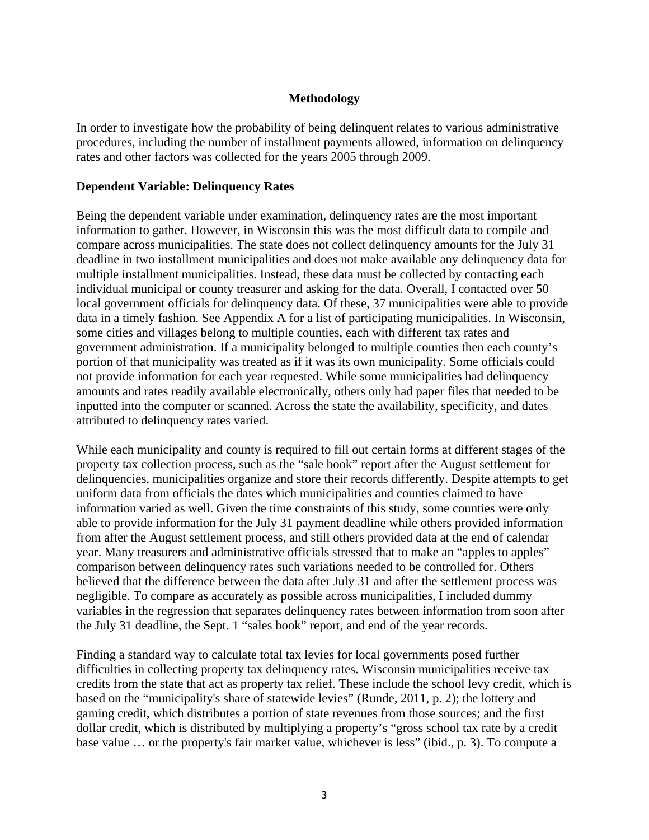### **Methodology**

In order to investigate how the probability of being delinquent relates to various administrative procedures, including the number of installment payments allowed, information on delinquency rates and other factors was collected for the years 2005 through 2009.

### **Dependent Variable: Delinquency Rates**

Being the dependent variable under examination, delinquency rates are the most important information to gather. However, in Wisconsin this was the most difficult data to compile and compare across municipalities. The state does not collect delinquency amounts for the July 31 deadline in two installment municipalities and does not make available any delinquency data for multiple installment municipalities. Instead, these data must be collected by contacting each individual municipal or county treasurer and asking for the data. Overall, I contacted over 50 local government officials for delinquency data. Of these, 37 municipalities were able to provide data in a timely fashion. See Appendix A for a list of participating municipalities. In Wisconsin, some cities and villages belong to multiple counties, each with different tax rates and government administration. If a municipality belonged to multiple counties then each county's portion of that municipality was treated as if it was its own municipality. Some officials could not provide information for each year requested. While some municipalities had delinquency amounts and rates readily available electronically, others only had paper files that needed to be inputted into the computer or scanned. Across the state the availability, specificity, and dates attributed to delinquency rates varied.

While each municipality and county is required to fill out certain forms at different stages of the property tax collection process, such as the "sale book" report after the August settlement for delinquencies, municipalities organize and store their records differently. Despite attempts to get uniform data from officials the dates which municipalities and counties claimed to have information varied as well. Given the time constraints of this study, some counties were only able to provide information for the July 31 payment deadline while others provided information from after the August settlement process, and still others provided data at the end of calendar year. Many treasurers and administrative officials stressed that to make an "apples to apples" comparison between delinquency rates such variations needed to be controlled for. Others believed that the difference between the data after July 31 and after the settlement process was negligible. To compare as accurately as possible across municipalities, I included dummy variables in the regression that separates delinquency rates between information from soon after the July 31 deadline, the Sept. 1 "sales book" report, and end of the year records.

Finding a standard way to calculate total tax levies for local governments posed further difficulties in collecting property tax delinquency rates. Wisconsin municipalities receive tax credits from the state that act as property tax relief. These include the school levy credit, which is based on the "municipality's share of statewide levies" (Runde, 2011, p. 2); the lottery and gaming credit, which distributes a portion of state revenues from those sources; and the first dollar credit, which is distributed by multiplying a property's "gross school tax rate by a credit base value … or the property's fair market value, whichever is less" (ibid., p. 3). To compute a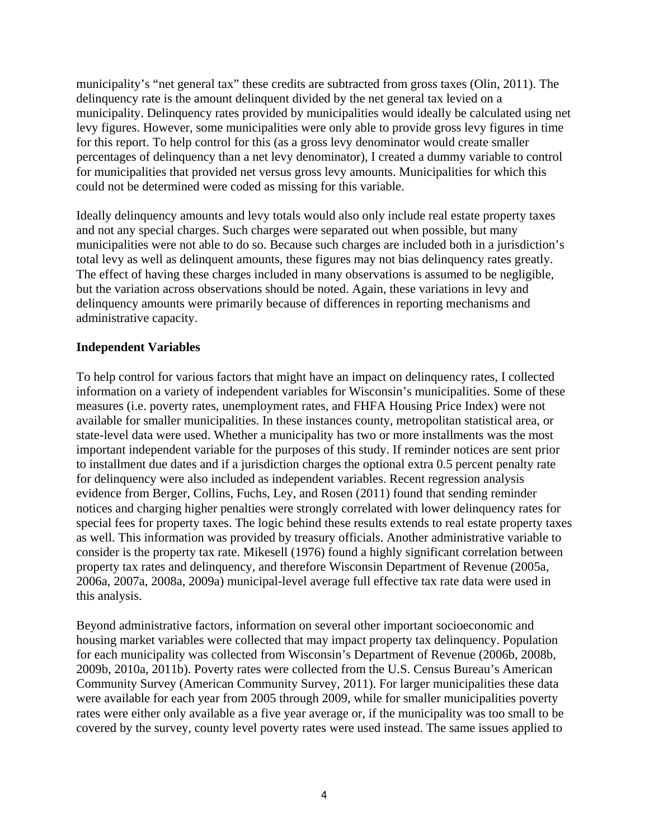municipality's "net general tax" these credits are subtracted from gross taxes (Olin, 2011). The delinquency rate is the amount delinquent divided by the net general tax levied on a municipality. Delinquency rates provided by municipalities would ideally be calculated using net levy figures. However, some municipalities were only able to provide gross levy figures in time for this report. To help control for this (as a gross levy denominator would create smaller percentages of delinquency than a net levy denominator), I created a dummy variable to control for municipalities that provided net versus gross levy amounts. Municipalities for which this could not be determined were coded as missing for this variable.

Ideally delinquency amounts and levy totals would also only include real estate property taxes and not any special charges. Such charges were separated out when possible, but many municipalities were not able to do so. Because such charges are included both in a jurisdiction's total levy as well as delinquent amounts, these figures may not bias delinquency rates greatly. The effect of having these charges included in many observations is assumed to be negligible, but the variation across observations should be noted. Again, these variations in levy and delinquency amounts were primarily because of differences in reporting mechanisms and administrative capacity.

### **Independent Variables**

To help control for various factors that might have an impact on delinquency rates, I collected information on a variety of independent variables for Wisconsin's municipalities. Some of these measures (i.e. poverty rates, unemployment rates, and FHFA Housing Price Index) were not available for smaller municipalities. In these instances county, metropolitan statistical area, or state-level data were used. Whether a municipality has two or more installments was the most important independent variable for the purposes of this study. If reminder notices are sent prior to installment due dates and if a jurisdiction charges the optional extra 0.5 percent penalty rate for delinquency were also included as independent variables. Recent regression analysis evidence from Berger, Collins, Fuchs, Ley, and Rosen (2011) found that sending reminder notices and charging higher penalties were strongly correlated with lower delinquency rates for special fees for property taxes. The logic behind these results extends to real estate property taxes as well. This information was provided by treasury officials. Another administrative variable to consider is the property tax rate. Mikesell (1976) found a highly significant correlation between property tax rates and delinquency, and therefore Wisconsin Department of Revenue (2005a, 2006a, 2007a, 2008a, 2009a) municipal-level average full effective tax rate data were used in this analysis.

Beyond administrative factors, information on several other important socioeconomic and housing market variables were collected that may impact property tax delinquency. Population for each municipality was collected from Wisconsin's Department of Revenue (2006b, 2008b, 2009b, 2010a, 2011b). Poverty rates were collected from the U.S. Census Bureau's American Community Survey (American Community Survey, 2011). For larger municipalities these data were available for each year from 2005 through 2009, while for smaller municipalities poverty rates were either only available as a five year average or, if the municipality was too small to be covered by the survey, county level poverty rates were used instead. The same issues applied to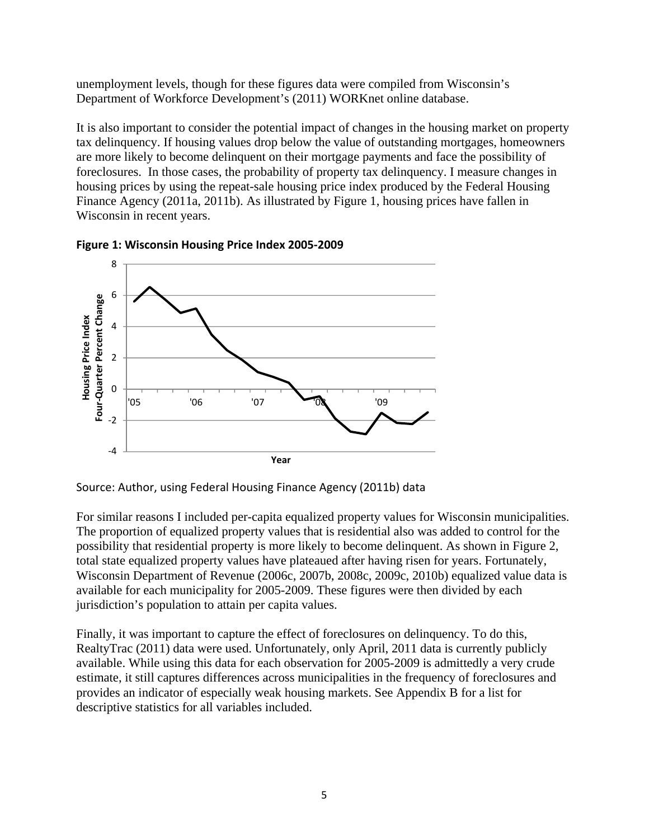unemployment levels, though for these figures data were compiled from Wisconsin's Department of Workforce Development's (2011) WORKnet online database.

It is also important to consider the potential impact of changes in the housing market on property tax delinquency. If housing values drop below the value of outstanding mortgages, homeowners are more likely to become delinquent on their mortgage payments and face the possibility of foreclosures. In those cases, the probability of property tax delinquency. I measure changes in housing prices by using the repeat-sale housing price index produced by the Federal Housing Finance Agency (2011a, 2011b). As illustrated by Figure 1, housing prices have fallen in Wisconsin in recent years.





Source: Author, using Federal Housing Finance Agency (2011b) data

For similar reasons I included per-capita equalized property values for Wisconsin municipalities. The proportion of equalized property values that is residential also was added to control for the possibility that residential property is more likely to become delinquent. As shown in Figure 2, total state equalized property values have plateaued after having risen for years. Fortunately, Wisconsin Department of Revenue (2006c, 2007b, 2008c, 2009c, 2010b) equalized value data is available for each municipality for 2005-2009. These figures were then divided by each jurisdiction's population to attain per capita values.

Finally, it was important to capture the effect of foreclosures on delinquency. To do this, RealtyTrac (2011) data were used. Unfortunately, only April, 2011 data is currently publicly available. While using this data for each observation for 2005-2009 is admittedly a very crude estimate, it still captures differences across municipalities in the frequency of foreclosures and provides an indicator of especially weak housing markets. See Appendix B for a list for descriptive statistics for all variables included.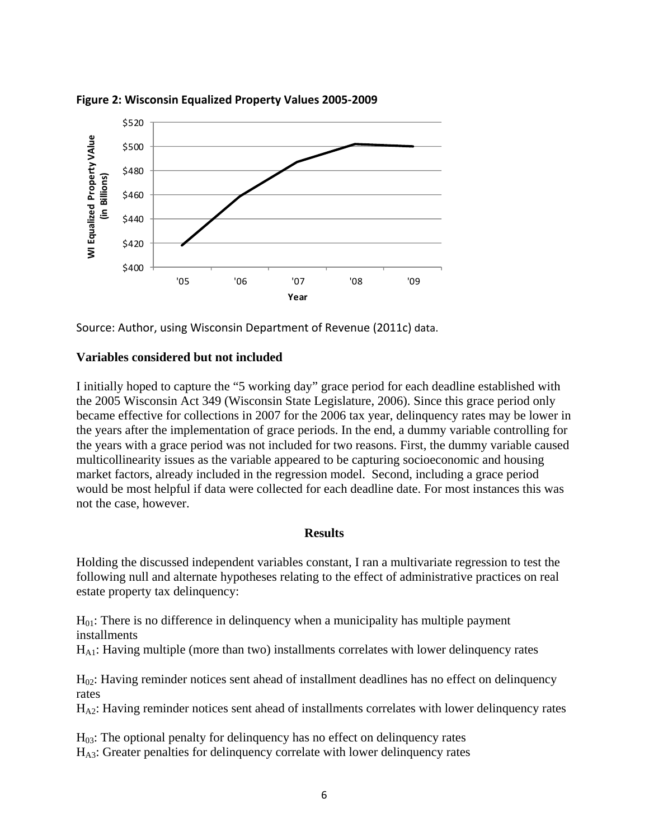

**Figure 2: Wisconsin Equalized Property Values 2005‐2009**

Source: Author, using Wisconsin Department of Revenue (2011c) data.

### **Variables considered but not included**

I initially hoped to capture the "5 working day" grace period for each deadline established with the 2005 Wisconsin Act 349 (Wisconsin State Legislature, 2006). Since this grace period only became effective for collections in 2007 for the 2006 tax year, delinquency rates may be lower in the years after the implementation of grace periods. In the end, a dummy variable controlling for the years with a grace period was not included for two reasons. First, the dummy variable caused multicollinearity issues as the variable appeared to be capturing socioeconomic and housing market factors, already included in the regression model. Second, including a grace period would be most helpful if data were collected for each deadline date. For most instances this was not the case, however.

#### **Results**

Holding the discussed independent variables constant, I ran a multivariate regression to test the following null and alternate hypotheses relating to the effect of administrative practices on real estate property tax delinquency:

 $H<sub>01</sub>$ : There is no difference in delinquency when a municipality has multiple payment installments

HA1: Having multiple (more than two) installments correlates with lower delinquency rates

 $H<sub>02</sub>$ : Having reminder notices sent ahead of installment deadlines has no effect on delinquency rates

HA2: Having reminder notices sent ahead of installments correlates with lower delinquency rates

 $H<sub>03</sub>$ : The optional penalty for delinquency has no effect on delinquency rates HA3: Greater penalties for delinquency correlate with lower delinquency rates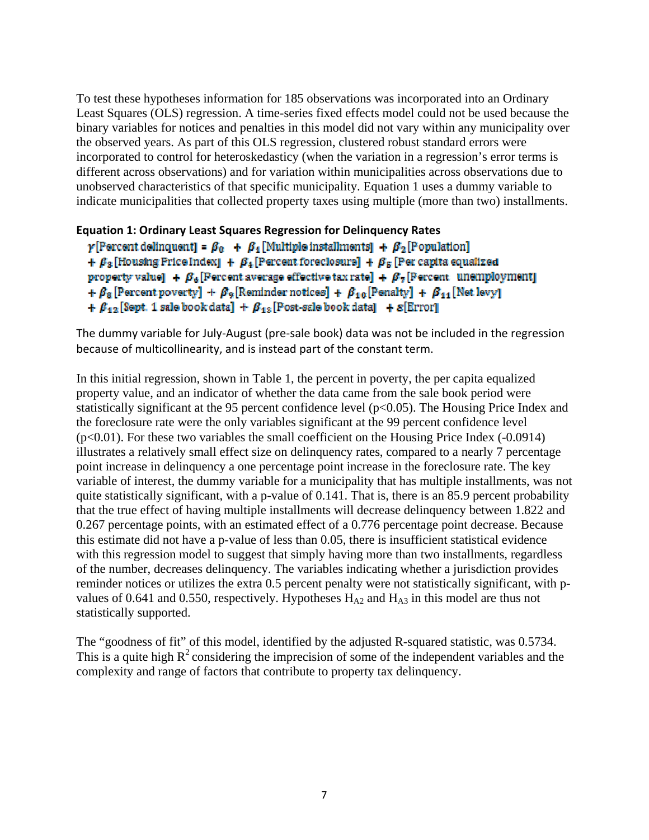To test these hypotheses information for 185 observations was incorporated into an Ordinary Least Squares (OLS) regression. A time-series fixed effects model could not be used because the binary variables for notices and penalties in this model did not vary within any municipality over the observed years. As part of this OLS regression, clustered robust standard errors were incorporated to control for heteroskedasticy (when the variation in a regression's error terms is different across observations) and for variation within municipalities across observations due to unobserved characteristics of that specific municipality. Equation 1 uses a dummy variable to indicate municipalities that collected property taxes using multiple (more than two) installments.

### **Equation 1: Ordinary Least Squares Regression for Delinquency Rates**

```
\gamma[Percent delinquent] = \beta_0 + \beta_4[Multiple installments] + \beta_2[Population]
+ \beta_3 [Housing Price Index] + \beta_4 [Percent foreclosurs] + \beta_5 [Per capita equalized
property value] + \beta_e [Percent average effective tax rate] + \beta_z [Percent unemployment]
+ \beta_8 [Percent poverty] + \beta_9 [Reminder notices] + \beta_{10} [Penalty] + \beta_{11} [Net levy]
+ \beta_{12} [Sept. 1 sale book data] + \beta_{12} [Post-sale book data] + \mathcal{E}[Error]
```
The dummy variable for July‐August (pre‐sale book) data was not be included in the regression because of multicollinearity, and is instead part of the constant term.

In this initial regression, shown in Table 1, the percent in poverty, the per capita equalized property value, and an indicator of whether the data came from the sale book period were statistically significant at the 95 percent confidence level  $(p<0.05)$ . The Housing Price Index and the foreclosure rate were the only variables significant at the 99 percent confidence level (p<0.01). For these two variables the small coefficient on the Housing Price Index (-0.0914) illustrates a relatively small effect size on delinquency rates, compared to a nearly 7 percentage point increase in delinquency a one percentage point increase in the foreclosure rate. The key variable of interest, the dummy variable for a municipality that has multiple installments, was not quite statistically significant, with a p-value of 0.141. That is, there is an 85.9 percent probability that the true effect of having multiple installments will decrease delinquency between 1.822 and 0.267 percentage points, with an estimated effect of a 0.776 percentage point decrease. Because this estimate did not have a p-value of less than 0.05, there is insufficient statistical evidence with this regression model to suggest that simply having more than two installments, regardless of the number, decreases delinquency. The variables indicating whether a jurisdiction provides reminder notices or utilizes the extra 0.5 percent penalty were not statistically significant, with pvalues of 0.641 and 0.550, respectively. Hypotheses  $H_{A2}$  and  $H_{A3}$  in this model are thus not statistically supported.

The "goodness of fit" of this model, identified by the adjusted R-squared statistic, was 0.5734. This is a quite high  $R^2$  considering the imprecision of some of the independent variables and the complexity and range of factors that contribute to property tax delinquency.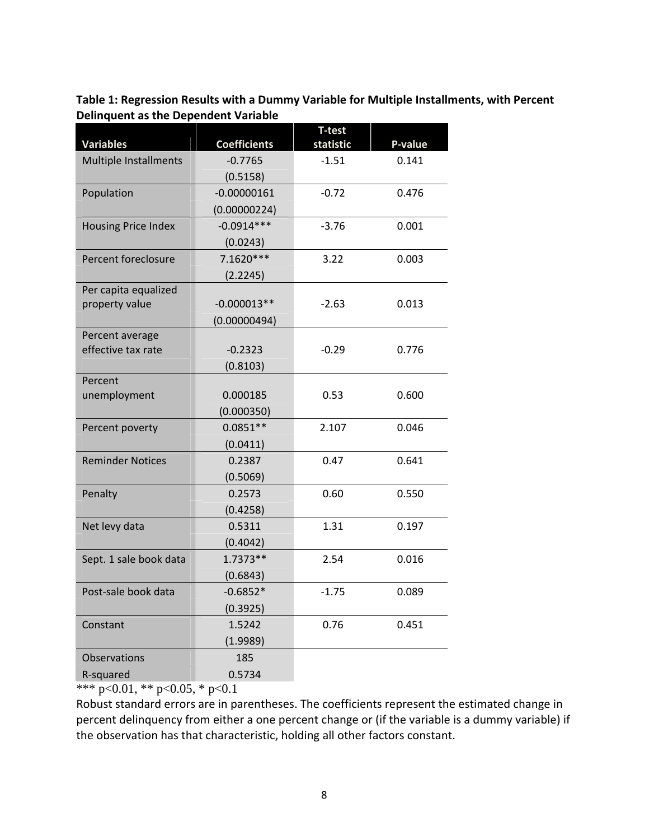**Table 1: Regression Results with a Dummy Variable for Multiple Installments, with Percent Delinquent as the Dependent Variable**

|                                                  |                                  | <b>T-test</b>        |                  |  |
|--------------------------------------------------|----------------------------------|----------------------|------------------|--|
| <b>Variables</b><br><b>Multiple Installments</b> | <b>Coefficients</b><br>$-0.7765$ | statistic<br>$-1.51$ | P-value<br>0.141 |  |
|                                                  |                                  |                      |                  |  |
|                                                  | (0.5158)<br>$-0.00000161$        | $-0.72$              | 0.476            |  |
| Population                                       |                                  |                      |                  |  |
|                                                  | (0.00000224)<br>$-0.0914***$     | $-3.76$              | 0.001            |  |
| <b>Housing Price Index</b>                       |                                  |                      |                  |  |
| Percent foreclosure                              | (0.0243)<br>7.1620***            |                      |                  |  |
|                                                  |                                  | 3.22                 | 0.003            |  |
| Per capita equalized                             | (2.2245)                         |                      |                  |  |
| property value                                   | $-0.000013**$                    | $-2.63$              | 0.013            |  |
|                                                  | (0.00000494)                     |                      |                  |  |
| Percent average                                  |                                  |                      |                  |  |
| effective tax rate                               | $-0.2323$                        | $-0.29$              | 0.776            |  |
|                                                  | (0.8103)                         |                      |                  |  |
| Percent                                          |                                  |                      |                  |  |
| unemployment                                     | 0.000185                         | 0.53                 | 0.600            |  |
|                                                  | (0.000350)                       |                      |                  |  |
| Percent poverty                                  | $0.0851**$                       | 2.107                | 0.046            |  |
|                                                  | (0.0411)                         |                      |                  |  |
| <b>Reminder Notices</b>                          | 0.2387                           | 0.47                 | 0.641            |  |
|                                                  | (0.5069)                         |                      |                  |  |
| Penalty                                          | 0.2573                           | 0.60                 | 0.550            |  |
|                                                  | (0.4258)                         |                      |                  |  |
| Net levy data                                    | 0.5311                           | 1.31                 | 0.197            |  |
|                                                  | (0.4042)                         |                      |                  |  |
| Sept. 1 sale book data                           | 1.7373**                         | 2.54                 | 0.016            |  |
|                                                  | (0.6843)                         |                      |                  |  |
| Post-sale book data                              | $-0.6852*$                       | $-1.75$              | 0.089            |  |
|                                                  | (0.3925)                         |                      |                  |  |
| Constant                                         | 1.5242                           | 0.76                 | 0.451            |  |
|                                                  | (1.9989)                         |                      |                  |  |
| <b>Observations</b>                              | 185                              |                      |                  |  |
| R-squared                                        | 0.5734                           |                      |                  |  |

\*\*\* p<0.01, \*\* p<0.05, \* p<0.1

Robust standard errors are in parentheses. The coefficients represent the estimated change in percent delinquency from either a one percent change or (if the variable is a dummy variable) if the observation has that characteristic, holding all other factors constant.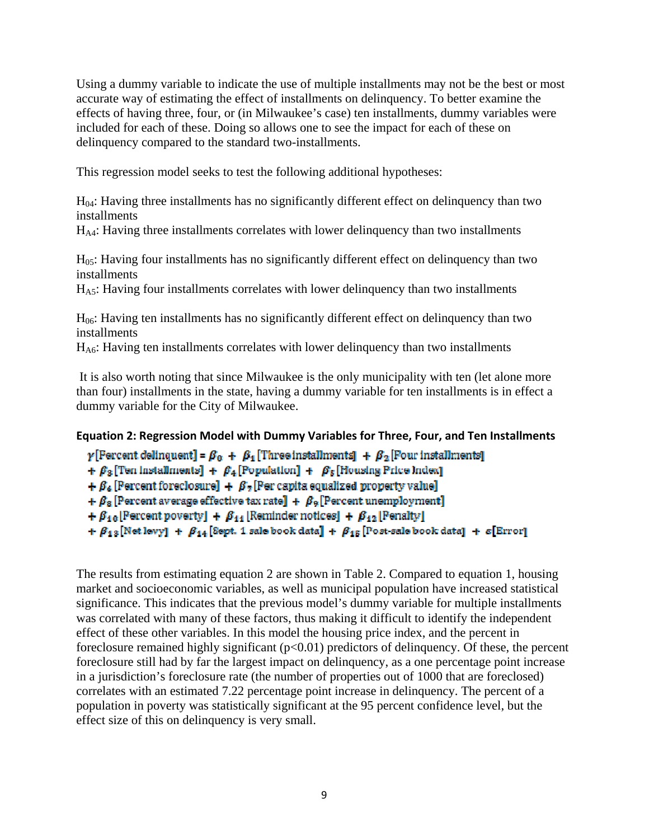Using a dummy variable to indicate the use of multiple installments may not be the best or most accurate way of estimating the effect of installments on delinquency. To better examine the effects of having three, four, or (in Milwaukee's case) ten installments, dummy variables were included for each of these. Doing so allows one to see the impact for each of these on delinquency compared to the standard two-installments.

This regression model seeks to test the following additional hypotheses:

H04: Having three installments has no significantly different effect on delinquency than two installments

HA4: Having three installments correlates with lower delinquency than two installments

H05: Having four installments has no significantly different effect on delinquency than two installments

 $H<sub>AS</sub>$ : Having four installments correlates with lower delinquency than two installments

H06: Having ten installments has no significantly different effect on delinquency than two installments

HA6: Having ten installments correlates with lower delinquency than two installments

 It is also worth noting that since Milwaukee is the only municipality with ten (let alone more than four) installments in the state, having a dummy variable for ten installments is in effect a dummy variable for the City of Milwaukee.

### **Equation 2: Regression Model with Dummy Variables for Three, Four, and Ten Installments**

 $\gamma$ [Fercent delinquent] =  $\beta_0 + \beta_4$  [Three installments] +  $\beta_2$  [Four installments] +  $\beta_3$  [Ten installments] +  $\beta_4$  [Population] +  $\beta_5$  [Housing Price Index]  $+\beta_6$  [Percent foreclosure]  $+\beta_7$  [Per capita equalized property value] +  $\beta_8$  [Percent average effective tax rate] +  $\beta_9$  [Percent unemployment] +  $\beta_{10}$  [Percent poverty] +  $\beta_{11}$  [Reminder notices] +  $\beta_{12}$  [Penalty] +  $\beta_{13}$  [Net levy] +  $\beta_{14}$  [Sept. 1 sale book data] +  $\beta_{15}$  [Post-sale book data] + s [Error]

The results from estimating equation 2 are shown in Table 2. Compared to equation 1, housing market and socioeconomic variables, as well as municipal population have increased statistical significance. This indicates that the previous model's dummy variable for multiple installments was correlated with many of these factors, thus making it difficult to identify the independent effect of these other variables. In this model the housing price index, and the percent in foreclosure remained highly significant  $(p<0.01)$  predictors of delinquency. Of these, the percent foreclosure still had by far the largest impact on delinquency, as a one percentage point increase in a jurisdiction's foreclosure rate (the number of properties out of 1000 that are foreclosed) correlates with an estimated 7.22 percentage point increase in delinquency. The percent of a population in poverty was statistically significant at the 95 percent confidence level, but the effect size of this on delinquency is very small.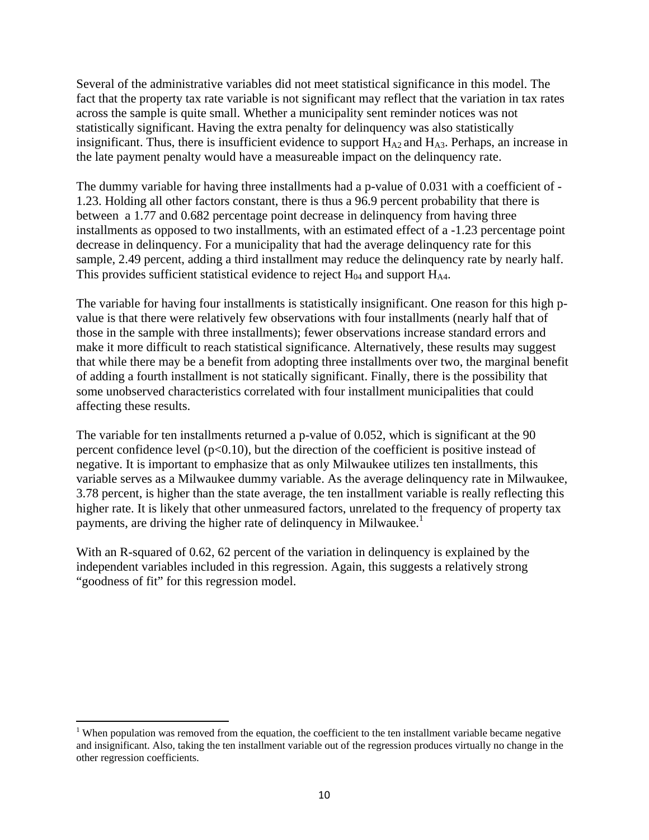Several of the administrative variables did not meet statistical significance in this model. The fact that the property tax rate variable is not significant may reflect that the variation in tax rates across the sample is quite small. Whether a municipality sent reminder notices was not statistically significant. Having the extra penalty for delinquency was also statistically insignificant. Thus, there is insufficient evidence to support  $H_{A2}$  and  $H_{A3}$ . Perhaps, an increase in the late payment penalty would have a measureable impact on the delinquency rate.

The dummy variable for having three installments had a p-value of 0.031 with a coefficient of - 1.23. Holding all other factors constant, there is thus a 96.9 percent probability that there is between a 1.77 and 0.682 percentage point decrease in delinquency from having three installments as opposed to two installments, with an estimated effect of a -1.23 percentage point decrease in delinquency. For a municipality that had the average delinquency rate for this sample, 2.49 percent, adding a third installment may reduce the delinquency rate by nearly half. This provides sufficient statistical evidence to reject  $H_{04}$  and support  $H_{A4}$ .

The variable for having four installments is statistically insignificant. One reason for this high pvalue is that there were relatively few observations with four installments (nearly half that of those in the sample with three installments); fewer observations increase standard errors and make it more difficult to reach statistical significance. Alternatively, these results may suggest that while there may be a benefit from adopting three installments over two, the marginal benefit of adding a fourth installment is not statically significant. Finally, there is the possibility that some unobserved characteristics correlated with four installment municipalities that could affecting these results.

The variable for ten installments returned a p-value of 0.052, which is significant at the 90 percent confidence level  $(p<0.10)$ , but the direction of the coefficient is positive instead of negative. It is important to emphasize that as only Milwaukee utilizes ten installments, this variable serves as a Milwaukee dummy variable. As the average delinquency rate in Milwaukee, 3.78 percent, is higher than the state average, the ten installment variable is really reflecting this higher rate. It is likely that other unmeasured factors, unrelated to the frequency of property tax payments, are driving the higher rate of delinquency in Milwaukee.<sup>1</sup>

With an R-squared of 0.62, 62 percent of the variation in delinquency is explained by the independent variables included in this regression. Again, this suggests a relatively strong "goodness of fit" for this regression model.

<sup>&</sup>lt;sup>1</sup> When population was removed from the equation, the coefficient to the ten installment variable became negative and insignificant. Also, taking the ten installment variable out of the regression produces virtually no change in the other regression coefficients.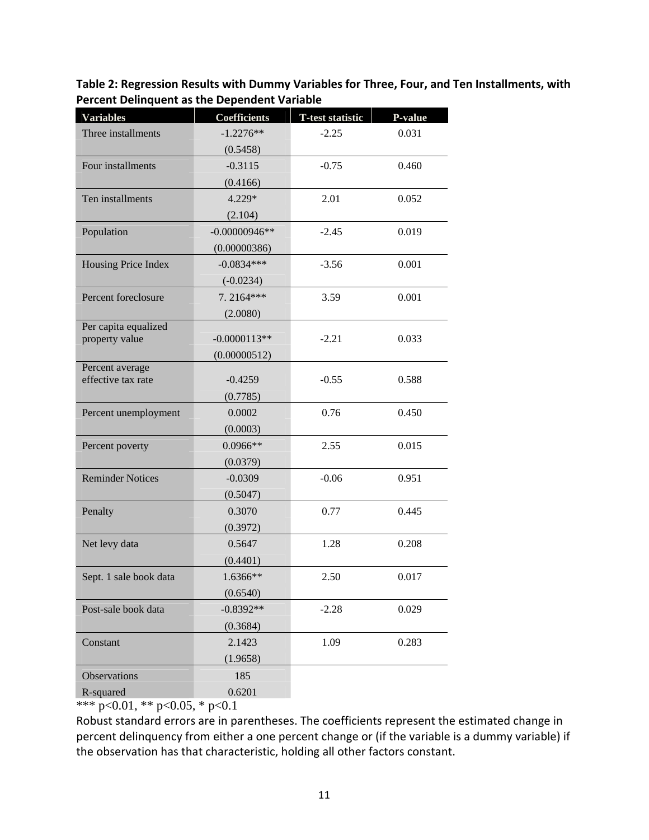**Table 2: Regression Results with Dummy Variables for Three, Four, and Ten Installments, with Percent Delinquent as the Dependent Variable**

| <b>Variables</b>        | <b>Coefficients</b> | <b>T-test statistic</b> | P-value |
|-------------------------|---------------------|-------------------------|---------|
| Three installments      | $-1.2276**$         | $-2.25$                 | 0.031   |
|                         | (0.5458)            |                         |         |
| Four installments       | $-0.3115$           | $-0.75$                 | 0.460   |
|                         | (0.4166)            |                         |         |
| Ten installments        | $4.229*$            | 2.01                    | 0.052   |
|                         | (2.104)             |                         |         |
| Population              | $-0.00000946**$     | $-2.45$                 | 0.019   |
|                         | (0.00000386)        |                         |         |
| Housing Price Index     | $-0.0834***$        | $-3.56$                 | 0.001   |
|                         | $(-0.0234)$         |                         |         |
| Percent foreclosure     | 7.2164***           | 3.59                    | 0.001   |
|                         | (2.0080)            |                         |         |
| Per capita equalized    |                     |                         |         |
| property value          | $-0.0000113**$      | $-2.21$                 | 0.033   |
| Percent average         | (0.00000512)        |                         |         |
| effective tax rate      | $-0.4259$           | $-0.55$                 | 0.588   |
|                         | (0.7785)            |                         |         |
| Percent unemployment    | 0.0002              | 0.76                    | 0.450   |
|                         | (0.0003)            |                         |         |
| Percent poverty         | $0.0966**$          | 2.55                    | 0.015   |
|                         | (0.0379)            |                         |         |
| <b>Reminder Notices</b> | $-0.0309$           | $-0.06$                 | 0.951   |
|                         | (0.5047)            |                         |         |
| Penalty                 | 0.3070              | 0.77                    | 0.445   |
|                         | (0.3972)            |                         |         |
| Net levy data           | 0.5647              | 1.28                    | 0.208   |
|                         | (0.4401)            |                         |         |
| Sept. 1 sale book data  | 1.6366**            | 2.50                    | 0.017   |
|                         | (0.6540)            |                         |         |
| Post-sale book data     | $-0.8392**$         | $-2.28$                 | 0.029   |
|                         | (0.3684)            |                         |         |
| Constant                | 2.1423              | 1.09                    | 0.283   |
|                         | (1.9658)            |                         |         |
| <b>Observations</b>     | 185                 |                         |         |
| R-squared               | 0.6201              |                         |         |

\*\*\* p<0.01, \*\* p<0.05, \* p<0.1

Robust standard errors are in parentheses. The coefficients represent the estimated change in percent delinquency from either a one percent change or (if the variable is a dummy variable) if the observation has that characteristic, holding all other factors constant.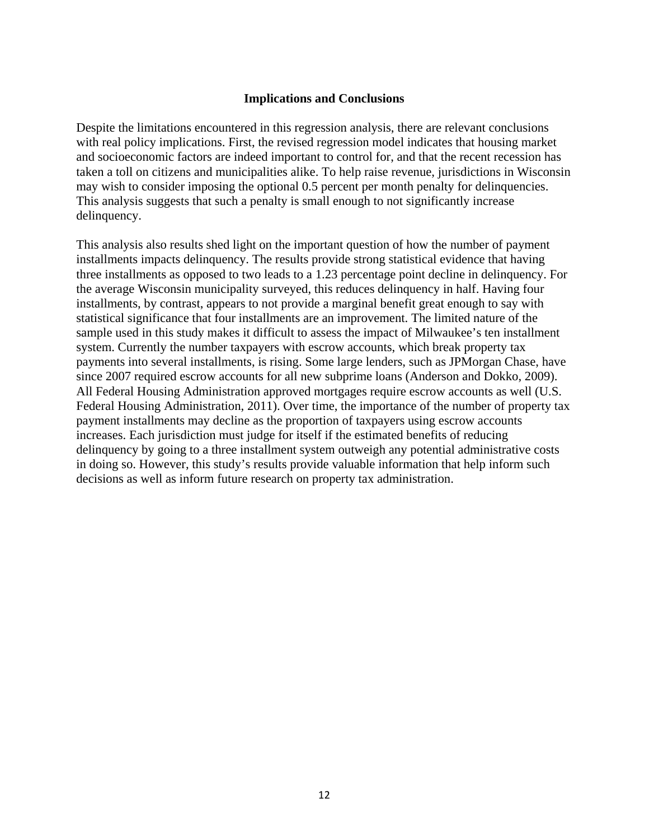### **Implications and Conclusions**

Despite the limitations encountered in this regression analysis, there are relevant conclusions with real policy implications. First, the revised regression model indicates that housing market and socioeconomic factors are indeed important to control for, and that the recent recession has taken a toll on citizens and municipalities alike. To help raise revenue, jurisdictions in Wisconsin may wish to consider imposing the optional 0.5 percent per month penalty for delinquencies. This analysis suggests that such a penalty is small enough to not significantly increase delinquency.

This analysis also results shed light on the important question of how the number of payment installments impacts delinquency. The results provide strong statistical evidence that having three installments as opposed to two leads to a 1.23 percentage point decline in delinquency. For the average Wisconsin municipality surveyed, this reduces delinquency in half. Having four installments, by contrast, appears to not provide a marginal benefit great enough to say with statistical significance that four installments are an improvement. The limited nature of the sample used in this study makes it difficult to assess the impact of Milwaukee's ten installment system. Currently the number taxpayers with escrow accounts, which break property tax payments into several installments, is rising. Some large lenders, such as JPMorgan Chase, have since 2007 required escrow accounts for all new subprime loans (Anderson and Dokko, 2009). All Federal Housing Administration approved mortgages require escrow accounts as well (U.S. Federal Housing Administration, 2011). Over time, the importance of the number of property tax payment installments may decline as the proportion of taxpayers using escrow accounts increases. Each jurisdiction must judge for itself if the estimated benefits of reducing delinquency by going to a three installment system outweigh any potential administrative costs in doing so. However, this study's results provide valuable information that help inform such decisions as well as inform future research on property tax administration.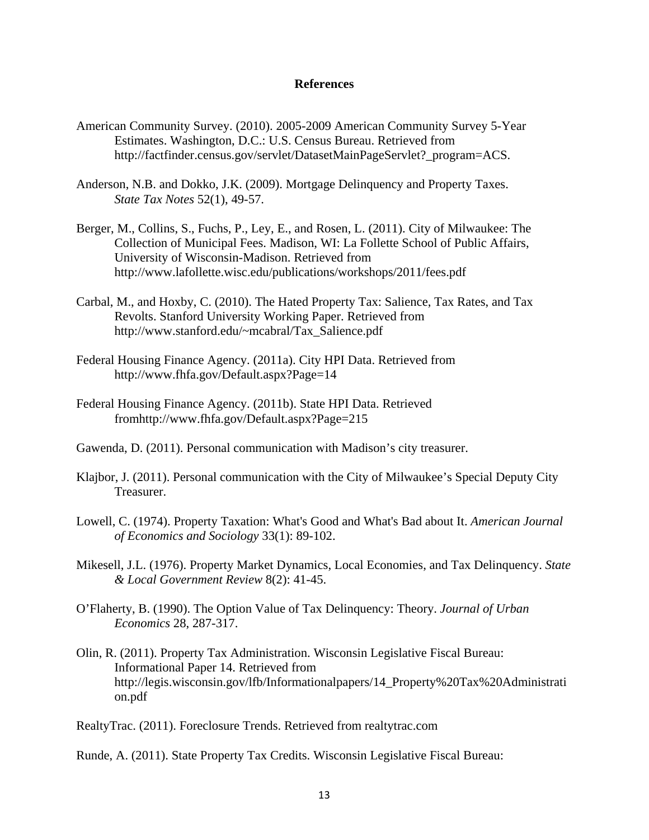#### **References**

- American Community Survey. (2010). 2005-2009 American Community Survey 5-Year Estimates. Washington, D.C.: U.S. Census Bureau. Retrieved from http://factfinder.census.gov/servlet/DatasetMainPageServlet?\_program=ACS.
- Anderson, N.B. and Dokko, J.K. (2009). Mortgage Delinquency and Property Taxes. *State Tax Notes* 52(1), 49-57.
- Berger, M., Collins, S., Fuchs, P., Ley, E., and Rosen, L. (2011). City of Milwaukee: The Collection of Municipal Fees. Madison, WI: La Follette School of Public Affairs, University of Wisconsin-Madison. Retrieved from http://www.lafollette.wisc.edu/publications/workshops/2011/fees.pdf
- Carbal, M., and Hoxby, C. (2010). The Hated Property Tax: Salience, Tax Rates, and Tax Revolts. Stanford University Working Paper. Retrieved from http://www.stanford.edu/~mcabral/Tax\_Salience.pdf
- Federal Housing Finance Agency. (2011a). City HPI Data. Retrieved from http://www.fhfa.gov/Default.aspx?Page=14
- Federal Housing Finance Agency. (2011b). State HPI Data. Retrieved fromhttp://www.fhfa.gov/Default.aspx?Page=215
- Gawenda, D. (2011). Personal communication with Madison's city treasurer.
- Klajbor, J. (2011). Personal communication with the City of Milwaukee's Special Deputy City Treasurer.
- Lowell, C. (1974). Property Taxation: What's Good and What's Bad about It. *American Journal of Economics and Sociology* 33(1): 89-102.
- Mikesell, J.L. (1976). Property Market Dynamics, Local Economies, and Tax Delinquency. *State & Local Government Review* 8(2): 41-45.
- O'Flaherty, B. (1990). The Option Value of Tax Delinquency: Theory. *Journal of Urban Economics* 28, 287-317.
- Olin, R. (2011). Property Tax Administration. Wisconsin Legislative Fiscal Bureau: Informational Paper 14. Retrieved from http://legis.wisconsin.gov/lfb/Informationalpapers/14\_Property%20Tax%20Administrati on.pdf

RealtyTrac. (2011). Foreclosure Trends. Retrieved from realtytrac.com

Runde, A. (2011). State Property Tax Credits. Wisconsin Legislative Fiscal Bureau: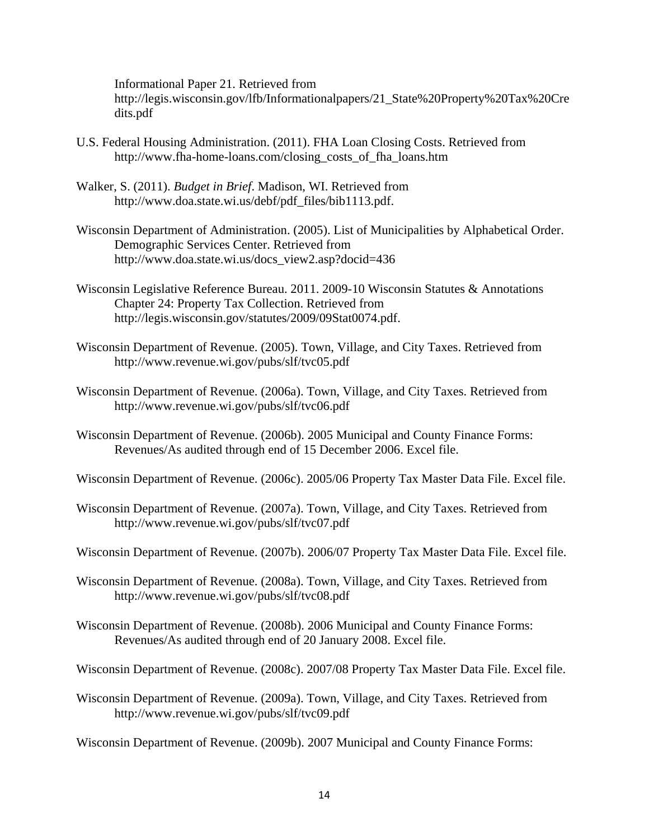Informational Paper 21. Retrieved from http://legis.wisconsin.gov/lfb/Informationalpapers/21\_State%20Property%20Tax%20Cre dits.pdf

- U.S. Federal Housing Administration. (2011). FHA Loan Closing Costs. Retrieved from http://www.fha-home-loans.com/closing\_costs\_of\_fha\_loans.htm
- Walker, S. (2011). *Budget in Brief*. Madison, WI. Retrieved from http://www.doa.state.wi.us/debf/pdf\_files/bib1113.pdf.
- Wisconsin Department of Administration. (2005). List of Municipalities by Alphabetical Order. Demographic Services Center. Retrieved from http://www.doa.state.wi.us/docs\_view2.asp?docid=436
- Wisconsin Legislative Reference Bureau. 2011. 2009-10 Wisconsin Statutes & Annotations Chapter 24: Property Tax Collection. Retrieved from http://legis.wisconsin.gov/statutes/2009/09Stat0074.pdf.
- Wisconsin Department of Revenue. (2005). Town, Village, and City Taxes. Retrieved from http://www.revenue.wi.gov/pubs/slf/tvc05.pdf
- Wisconsin Department of Revenue. (2006a). Town, Village, and City Taxes. Retrieved from http://www.revenue.wi.gov/pubs/slf/tvc06.pdf
- Wisconsin Department of Revenue. (2006b). 2005 Municipal and County Finance Forms: Revenues/As audited through end of 15 December 2006. Excel file.
- Wisconsin Department of Revenue. (2006c). 2005/06 Property Tax Master Data File. Excel file.
- Wisconsin Department of Revenue. (2007a). Town, Village, and City Taxes. Retrieved from http://www.revenue.wi.gov/pubs/slf/tvc07.pdf
- Wisconsin Department of Revenue. (2007b). 2006/07 Property Tax Master Data File. Excel file.
- Wisconsin Department of Revenue. (2008a). Town, Village, and City Taxes. Retrieved from http://www.revenue.wi.gov/pubs/slf/tvc08.pdf
- Wisconsin Department of Revenue. (2008b). 2006 Municipal and County Finance Forms: Revenues/As audited through end of 20 January 2008. Excel file.
- Wisconsin Department of Revenue. (2008c). 2007/08 Property Tax Master Data File. Excel file.
- Wisconsin Department of Revenue. (2009a). Town, Village, and City Taxes. Retrieved from http://www.revenue.wi.gov/pubs/slf/tvc09.pdf

Wisconsin Department of Revenue. (2009b). 2007 Municipal and County Finance Forms: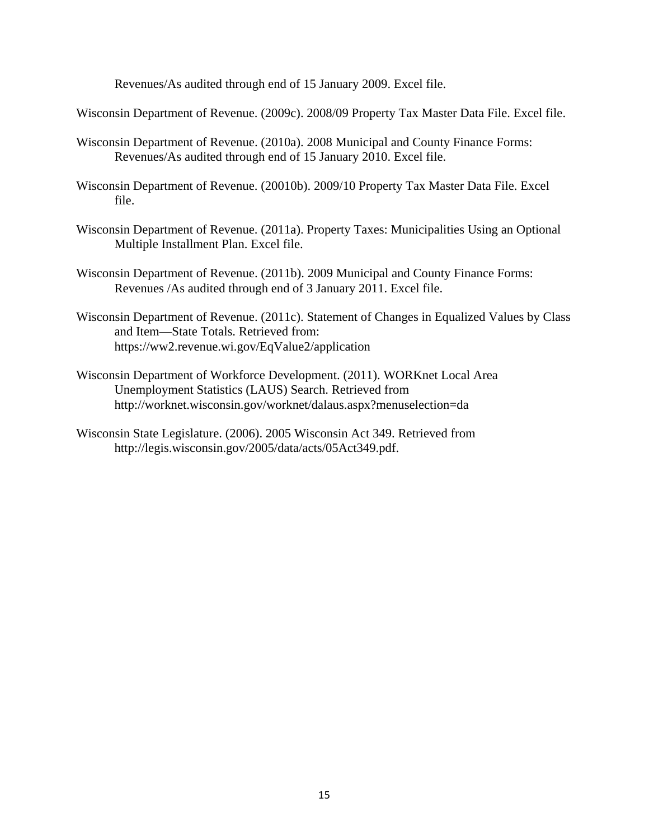Revenues/As audited through end of 15 January 2009. Excel file.

Wisconsin Department of Revenue. (2009c). 2008/09 Property Tax Master Data File. Excel file.

- Wisconsin Department of Revenue. (2010a). 2008 Municipal and County Finance Forms: Revenues/As audited through end of 15 January 2010. Excel file.
- Wisconsin Department of Revenue. (20010b). 2009/10 Property Tax Master Data File. Excel file.
- Wisconsin Department of Revenue. (2011a). Property Taxes: Municipalities Using an Optional Multiple Installment Plan. Excel file.
- Wisconsin Department of Revenue. (2011b). 2009 Municipal and County Finance Forms: Revenues /As audited through end of 3 January 2011. Excel file.
- Wisconsin Department of Revenue. (2011c). Statement of Changes in Equalized Values by Class and Item—State Totals. Retrieved from: https://ww2.revenue.wi.gov/EqValue2/application
- Wisconsin Department of Workforce Development. (2011). WORKnet Local Area Unemployment Statistics (LAUS) Search. Retrieved from http://worknet.wisconsin.gov/worknet/dalaus.aspx?menuselection=da
- Wisconsin State Legislature. (2006). 2005 Wisconsin Act 349. Retrieved from http://legis.wisconsin.gov/2005/data/acts/05Act349.pdf.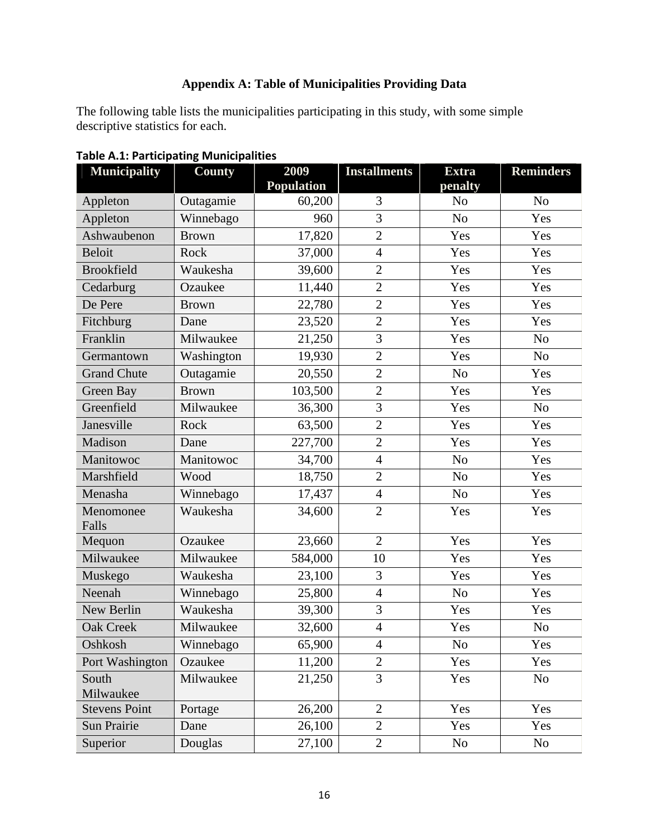# **Appendix A: Table of Municipalities Providing Data**

The following table lists the municipalities participating in this study, with some simple descriptive statistics for each.

| <b>Municipality</b>  | County       | 2009              | <b>Installments</b> | <b>Extra</b>   | <b>Reminders</b> |
|----------------------|--------------|-------------------|---------------------|----------------|------------------|
|                      |              | <b>Population</b> |                     | penalty        |                  |
| Appleton             | Outagamie    | 60,200            | 3                   | N <sub>o</sub> | $\rm No$         |
| Appleton             | Winnebago    | 960               | 3                   | N <sub>o</sub> | Yes              |
| Ashwaubenon          | <b>Brown</b> | 17,820            | $\overline{2}$      | Yes            | Yes              |
| <b>Beloit</b>        | Rock         | 37,000            | $\overline{4}$      | Yes            | Yes              |
| <b>Brookfield</b>    | Waukesha     | 39,600            | $\overline{2}$      | Yes            | Yes              |
| Cedarburg            | Ozaukee      | 11,440            | $\overline{2}$      | Yes            | Yes              |
| De Pere              | <b>Brown</b> | 22,780            | $\overline{2}$      | Yes            | Yes              |
| Fitchburg            | Dane         | 23,520            | $\overline{2}$      | Yes            | Yes              |
| Franklin             | Milwaukee    | 21,250            | 3                   | Yes            | N <sub>o</sub>   |
| Germantown           | Washington   | 19,930            | $\overline{2}$      | Yes            | N <sub>o</sub>   |
| <b>Grand Chute</b>   | Outagamie    | 20,550            | $\overline{2}$      | No             | Yes              |
| Green Bay            | <b>Brown</b> | 103,500           | $\mathbf{2}$        | Yes            | Yes              |
| Greenfield           | Milwaukee    | 36,300            | $\overline{3}$      | Yes            | N <sub>o</sub>   |
| Janesville           | Rock         | 63,500            | $\overline{2}$      | Yes            | Yes              |
| Madison              | Dane         | 227,700           | $\overline{2}$      | Yes            | Yes              |
| Manitowoc            | Manitowoc    | 34,700            | $\overline{4}$      | N <sub>o</sub> | Yes              |
| Marshfield           | Wood         | 18,750            | $\overline{2}$      | N <sub>o</sub> | Yes              |
| Menasha              | Winnebago    | 17,437            | $\overline{4}$      | N <sub>o</sub> | Yes              |
| Menomonee            | Waukesha     | 34,600            | $\overline{2}$      | Yes            | Yes              |
| Falls<br>Mequon      | Ozaukee      | 23,660            | $\overline{2}$      | Yes            | Yes              |
| Milwaukee            | Milwaukee    | 584,000           | 10                  | Yes            | Yes              |
| Muskego              | Waukesha     | 23,100            | 3                   | Yes            | Yes              |
| Neenah               | Winnebago    | 25,800            | $\overline{4}$      | No             | Yes              |
| New Berlin           | Waukesha     | 39,300            | 3                   | Yes            | Yes              |
|                      |              |                   |                     |                |                  |
| <b>Oak Creek</b>     | Milwaukee    | 32,600            | $\overline{4}$      | Yes            | N <sub>o</sub>   |
| Oshkosh              | Winnebago    | 65,900            | $\overline{4}$      | N <sub>o</sub> | Yes              |
| Port Washington      | Ozaukee      | 11,200            | $\overline{2}$      | Yes            | Yes              |
| South<br>Milwaukee   | Milwaukee    | 21,250            | $\overline{3}$      | Yes            | No               |
| <b>Stevens Point</b> | Portage      | 26,200            | $\overline{2}$      | Yes            | Yes              |
| Sun Prairie          | Dane         | 26,100            | $\overline{2}$      | Yes            | Yes              |
| Superior             | Douglas      | 27,100            | $\overline{2}$      | No             | No               |

**Table A.1: Participating Municipalities**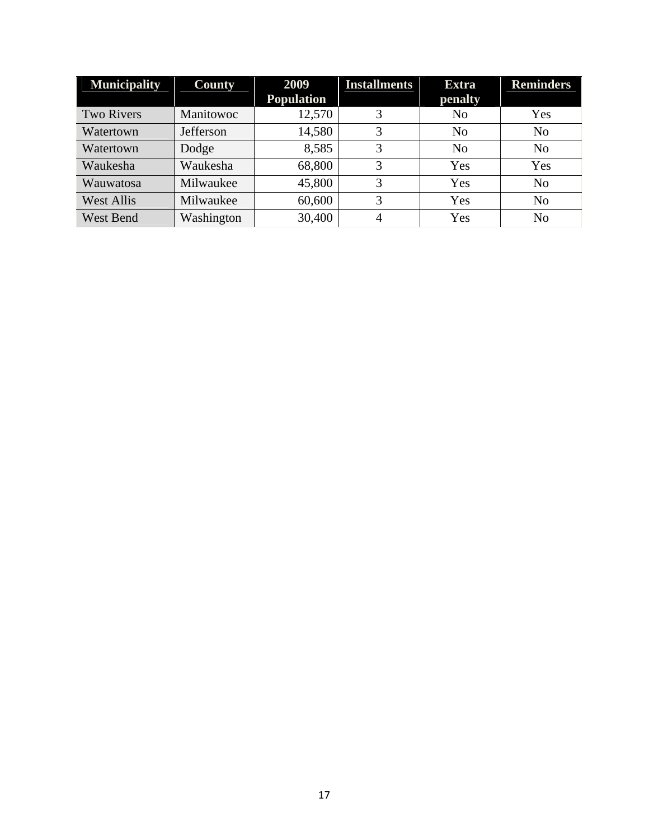| <b>Municipality</b> | <b>County</b> | 2009              | <b>Installments</b> | <b>Extra</b>   | <b>Reminders</b> |
|---------------------|---------------|-------------------|---------------------|----------------|------------------|
|                     |               | <b>Population</b> |                     | penalty        |                  |
| <b>Two Rivers</b>   | Manitowoc     | 12,570            | 3                   | N <sub>0</sub> | Yes              |
| Watertown           | Jefferson     | 14,580            | 3                   | N <sub>o</sub> | N <sub>o</sub>   |
| Watertown           | Dodge         | 8,585             | 3                   | N <sub>o</sub> | N <sub>o</sub>   |
| Waukesha            | Waukesha      | 68,800            | 3                   | Yes            | Yes              |
| Wauwatosa           | Milwaukee     | 45,800            | 3                   | Yes            | N <sub>o</sub>   |
| <b>West Allis</b>   | Milwaukee     | 60,600            | 3                   | Yes            | N <sub>o</sub>   |
| <b>West Bend</b>    | Washington    | 30,400            | 4                   | Yes            | N <sub>o</sub>   |